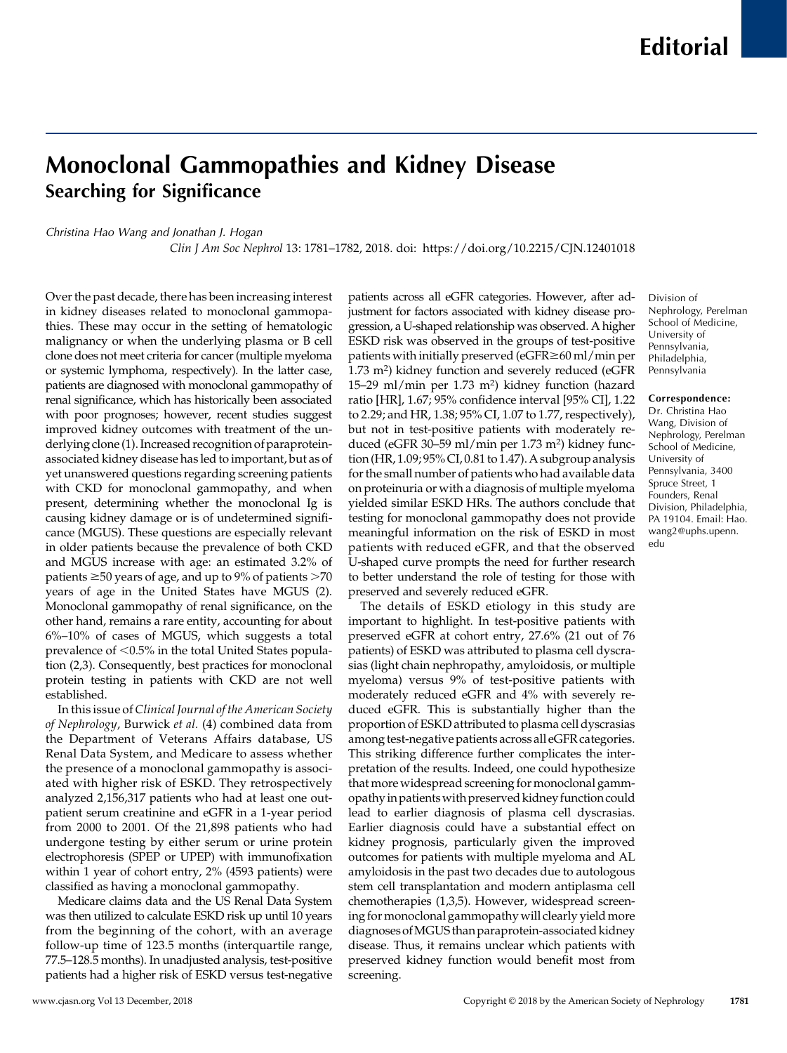# Monoclonal Gammopathies and Kidney Disease Searching for Significance

## Christina Hao Wang and Jonathan J. Hogan

Clin J Am Soc Nephrol 13: 1781–1782, 2018. doi:<https://doi.org/10.2215/CJN.12401018>

Over the past decade, there has been increasing interest in kidney diseases related to monoclonal gammopathies. These may occur in the setting of hematologic malignancy or when the underlying plasma or B cell clone does not meet criteria for cancer (multiple myeloma or systemic lymphoma, respectively). In the latter case, patients are diagnosed with monoclonal gammopathy of renal significance, which has historically been associated with poor prognoses; however, recent studies suggest improved kidney outcomes with treatment of the underlying clone (1). Increased recognition of paraproteinassociated kidney disease has led to important, but as of yet unanswered questions regarding screening patients with CKD for monoclonal gammopathy, and when present, determining whether the monoclonal Ig is causing kidney damage or is of undetermined significance (MGUS). These questions are especially relevant in older patients because the prevalence of both CKD and MGUS increase with age: an estimated 3.2% of patients  $\geq$ 50 years of age, and up to 9% of patients  $>$ 70 years of age in the United States have MGUS (2). Monoclonal gammopathy of renal significance, on the other hand, remains a rare entity, accounting for about 6%–10% of cases of MGUS, which suggests a total prevalence of  $<$ 0.5% in the total United States population (2,3). Consequently, best practices for monoclonal protein testing in patients with CKD are not well established.

In this issue of Clinical Journal of the American Society of Nephrology, Burwick et al. (4) combined data from the Department of Veterans Affairs database, US Renal Data System, and Medicare to assess whether the presence of a monoclonal gammopathy is associated with higher risk of ESKD. They retrospectively analyzed 2,156,317 patients who had at least one outpatient serum creatinine and eGFR in a 1-year period from 2000 to 2001. Of the 21,898 patients who had undergone testing by either serum or urine protein electrophoresis (SPEP or UPEP) with immunofixation within 1 year of cohort entry, 2% (4593 patients) were classified as having a monoclonal gammopathy.

Medicare claims data and the US Renal Data System was then utilized to calculate ESKD risk up until 10 years from the beginning of the cohort, with an average follow-up time of 123.5 months (interquartile range, 77.5–128.5 months). In unadjusted analysis, test-positive patients had a higher risk of ESKD versus test-negative

patients across all eGFR categories. However, after adjustment for factors associated with kidney disease progression, a U-shaped relationship was observed. A higher ESKD risk was observed in the groups of test-positive patients with initially preserved ( $e$ GFR $\geq$ 60 ml/min per 1.73 m2) kidney function and severely reduced (eGFR 15–29 ml/min per 1.73 m2) kidney function (hazard ratio [HR], 1.67; 95% confidence interval [95% CI], 1.22 to 2.29; and HR, 1.38; 95% CI, 1.07 to 1.77, respectively), but not in test-positive patients with moderately reduced (eGFR 30–59 ml/min per 1.73 m2) kidney function (HR, 1.09; 95% CI, 0.81 to 1.47). A subgroup analysis for the small number of patients who had available data on proteinuria or with a diagnosis of multiple myeloma yielded similar ESKD HRs. The authors conclude that testing for monoclonal gammopathy does not provide meaningful information on the risk of ESKD in most patients with reduced eGFR, and that the observed U-shaped curve prompts the need for further research to better understand the role of testing for those with preserved and severely reduced eGFR.

The details of ESKD etiology in this study are important to highlight. In test-positive patients with preserved eGFR at cohort entry, 27.6% (21 out of 76 patients) of ESKD was attributed to plasma cell dyscrasias (light chain nephropathy, amyloidosis, or multiple myeloma) versus 9% of test-positive patients with moderately reduced eGFR and 4% with severely reduced eGFR. This is substantially higher than the proportion of ESKD attributed to plasma cell dyscrasias among test-negative patients across all eGFR categories. This striking difference further complicates the interpretation of the results. Indeed, one could hypothesize that more widespread screening for monoclonal gammopathy in patients with preserved kidney function could lead to earlier diagnosis of plasma cell dyscrasias. Earlier diagnosis could have a substantial effect on kidney prognosis, particularly given the improved outcomes for patients with multiple myeloma and AL amyloidosis in the past two decades due to autologous stem cell transplantation and modern antiplasma cell chemotherapies (1,3,5). However, widespread screening for monoclonal gammopathy will clearly yield more diagnoses ofMGUS than paraprotein-associated kidney disease. Thus, it remains unclear which patients with preserved kidney function would benefit most from screening.

Division of Nephrology, Perelman School of Medicine, University of Pennsylvania, Philadelphia, Pennsylvania

#### Correspondence:

Dr. Christina Hao Wang, Division of Nephrology, Perelman School of Medicine, University of Pennsylvania, 3400 Spruce Street, 1 Founders, Renal Division, Philadelphia, PA 19104. Email: [Hao.](mailto:Hao.wang2@uphs.upenn.edu) [wang2@uphs.upenn.](mailto:Hao.wang2@uphs.upenn.edu) [edu](mailto:Hao.wang2@uphs.upenn.edu)